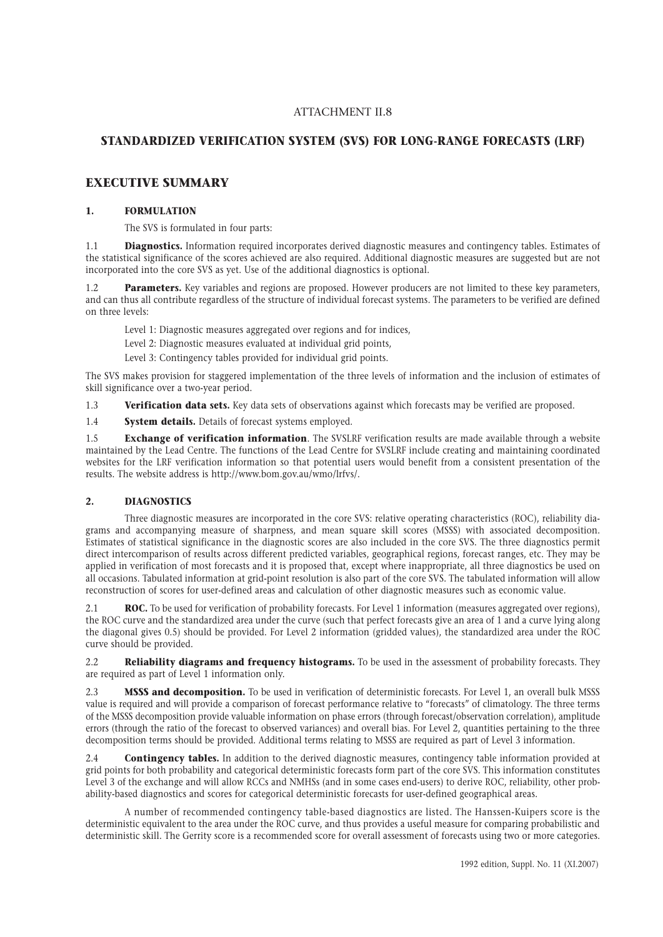# **STANDARDIZED VERIFICATION SYSTEM (SVS) FOR LONG-RANGE FORECASTS (LRF)**

# **EXECUTIVE SUMMARY**

# **1. FORMULATION**

The SVS is formulated in four parts:

1.1 **Diagnostics.** Information required incorporates derived diagnostic measures and contingency tables. Estimates of the statistical significance of the scores achieved are also required. Additional diagnostic measures are suggested but are not incorporated into the core SVS as yet. Use of the additional diagnostics is optional.

**Parameters.** Key variables and regions are proposed. However producers are not limited to these key parameters, and can thus all contribute regardless of the structure of individual forecast systems. The parameters to be verified are defined on three levels:

Level 1: Diagnostic measures aggregated over regions and for indices,

Level 2: Diagnostic measures evaluated at individual grid points,

Level 3: Contingency tables provided for individual grid points.

The SVS makes provision for staggered implementation of the three levels of information and the inclusion of estimates of skill significance over a two-year period.

1.3 **Verification data sets.** Key data sets of observations against which forecasts may be verified are proposed.

1.4 **System details.** Details of forecast systems employed.

1.5 **Exchange of verification information**. The SVSLRF verification results are made available through a website maintained by the Lead Centre. The functions of the Lead Centre for SVSLRF include creating and maintaining coordinated websites for the LRF verification information so that potential users would benefit from a consistent presentation of the results. The website address is http://www.bom.gov.au/wmo/lrfvs/.

# **2. DIAGNOSTICS**

Three diagnostic measures are incorporated in the core SVS: relative operating characteristics (ROC), reliability diagrams and accompanying measure of sharpness, and mean square skill scores (MSSS) with associated decomposition. Estimates of statistical significance in the diagnostic scores are also included in the core SVS. The three diagnostics permit direct intercomparison of results across different predicted variables, geographical regions, forecast ranges, etc. They may be applied in verification of most forecasts and it is proposed that, except where inappropriate, all three diagnostics be used on all occasions. Tabulated information at grid-point resolution is also part of the core SVS. The tabulated information will allow reconstruction of scores for user-defined areas and calculation of other diagnostic measures such as economic value.

2.1 **ROC.** To be used for verification of probability forecasts. For Level 1 information (measures aggregated over regions), the ROC curve and the standardized area under the curve (such that perfect forecasts give an area of 1 and a curve lying along the diagonal gives 0.5) should be provided. For Level 2 information (gridded values), the standardized area under the ROC curve should be provided.

2.2 **Reliability diagrams and frequency histograms.** To be used in the assessment of probability forecasts. They are required as part of Level 1 information only.

2.3 **MSSS and decomposition.** To be used in verification of deterministic forecasts. For Level 1, an overall bulk MSSS value is required and will provide a comparison of forecast performance relative to "forecasts" of climatology. The three terms of the MSSS decomposition provide valuable information on phase errors (through forecast/observation correlation), amplitude errors (through the ratio of the forecast to observed variances) and overall bias. For Level 2, quantities pertaining to the three decomposition terms should be provided. Additional terms relating to MSSS are required as part of Level 3 information.

2.4 **Contingency tables.** In addition to the derived diagnostic measures, contingency table information provided at grid points for both probability and categorical deterministic forecasts form part of the core SVS. This information constitutes Level 3 of the exchange and will allow RCCs and NMHSs (and in some cases end-users) to derive ROC, reliability, other probability-based diagnostics and scores for categorical deterministic forecasts for user-defined geographical areas.

A number of recommended contingency table-based diagnostics are listed. The Hanssen-Kuipers score is the deterministic equivalent to the area under the ROC curve, and thus provides a useful measure for comparing probabilistic and deterministic skill. The Gerrity score is a recommended score for overall assessment of forecasts using two or more categories.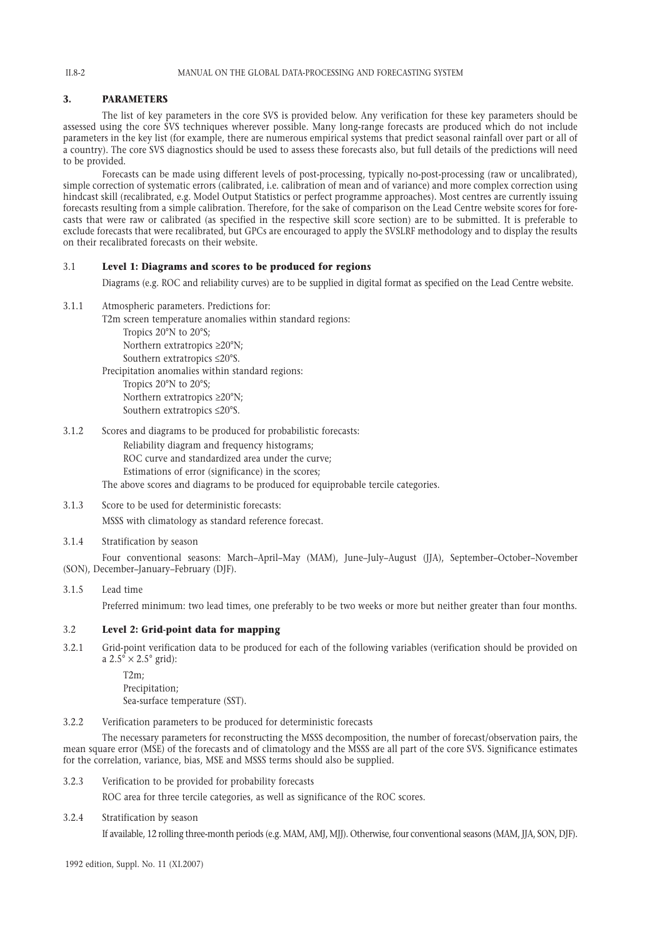#### MANUAL ON THE GLOBAL DATA-PROCESSING AND FORECASTING SYSTEM

# **3. PARAMETERS**

The list of key parameters in the core SVS is provided below. Any verification for these key parameters should be assessed using the core SVS techniques wherever possible. Many long-range forecasts are produced which do not include parameters in the key list (for example, there are numerous empirical systems that predict seasonal rainfall over part or all of a country). The core SVS diagnostics should be used to assess these forecasts also, but full details of the predictions will need to be provided.

Forecasts can be made using different levels of post-processing, typically no-post-processing (raw or uncalibrated), simple correction of systematic errors (calibrated, i.e. calibration of mean and of variance) and more complex correction using hindcast skill (recalibrated, e.g. Model Output Statistics or perfect programme approaches). Most centres are currently issuing forecasts resulting from a simple calibration. Therefore, for the sake of comparison on the Lead Centre website scores for forecasts that were raw or calibrated (as specified in the respective skill score section) are to be submitted. It is preferable to exclude forecasts that were recalibrated, but GPCs are encouraged to apply the SVSLRF methodology and to display the results on their recalibrated forecasts on their website.

# 3.1 **Level 1: Diagrams and scores to be produced for regions**

Diagrams (e.g. ROC and reliability curves) are to be supplied in digital format as specified on the Lead Centre website.

3.1.1 Atmospheric parameters. Predictions for:

T2m screen temperature anomalies within standard regions: Tropics 20°N to 20°S; Northern extratropics ≥20°N;

Southern extratropics ≤20°S.

Precipitation anomalies within standard regions:

Tropics 20°N to 20°S; Northern extratropics ≥20°N; Southern extratropics ≤20°S.

3.1.2 Scores and diagrams to be produced for probabilistic forecasts: Reliability diagram and frequency histograms; ROC curve and standardized area under the curve; Estimations of error (significance) in the scores; The above scores and diagrams to be produced for equiprobable tercile categories.

3.1.3 Score to be used for deterministic forecasts:

MSSS with climatology as standard reference forecast.

3.1.4 Stratification by season

Four conventional seasons: March–April–May (MAM), June–July–August (JJA), September–October–November (SON), December–January–February (DJF).

# 3.1.5 Lead time

Preferred minimum: two lead times, one preferably to be two weeks or more but neither greater than four months.

# 3.2 **Level 2: Grid-point data for mapping**

3.2.1 Grid-point verification data to be produced for each of the following variables (verification should be provided on a  $2.5^{\circ} \times 2.5^{\circ}$  grid):

> T2m; Precipitation; Sea-surface temperature (SST).

3.2.2 Verification parameters to be produced for deterministic forecasts

The necessary parameters for reconstructing the MSSS decomposition, the number of forecast/observation pairs, the mean square error (MSE) of the forecasts and of climatology and the MSSS are all part of the core SVS. Significance estimates for the correlation, variance, bias, MSE and MSSS terms should also be supplied.

3.2.3 Verification to be provided for probability forecasts

ROC area for three tercile categories, as well as significance of the ROC scores.

3.2.4 Stratification by season

If available, 12 rolling three-month periods (e.g. MAM, AMJ, MJJ). Otherwise, four conventional seasons (MAM, JJA, SON, DJF).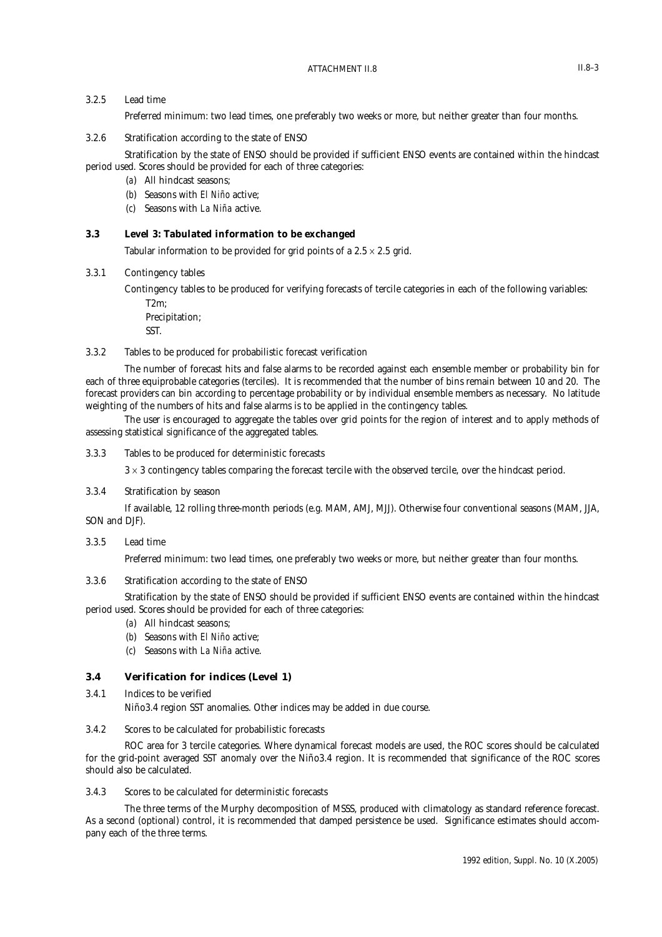# 3.2.5 Lead time

Preferred minimum: two lead times, one preferably two weeks or more, but neither greater than four months.

# 3.2.6 Stratification according to the state of ENSO

Stratification by the state of ENSO should be provided if sufficient ENSO events are contained within the hindcast period used. Scores should be provided for each of three categories:

- (*a*) All hindcast seasons;
- (*b*) Seasons with *El Niño* active;
- (*c*) Seasons with *La Niña* active.

# **3.3 Level 3: Tabulated information to be exchanged**

Tabular information to be provided for grid points of a  $2.5 \times 2.5$  grid.

3.3.1 Contingency tables

Contingency tables to be produced for verifying forecasts of tercile categories in each of the following variables: T2m;

Precipitation; SST.

### 3.3.2 Tables to be produced for probabilistic forecast verification

The number of forecast hits and false alarms to be recorded against each ensemble member or probability bin for each of three equiprobable categories (terciles). It is recommended that the number of bins remain between 10 and 20. The forecast providers can bin according to percentage probability or by individual ensemble members as necessary. No latitude weighting of the numbers of hits and false alarms is to be applied in the contingency tables.

The user is encouraged to aggregate the tables over grid points for the region of interest and to apply methods of assessing statistical significance of the aggregated tables.

3.3.3 Tables to be produced for deterministic forecasts

 $3 \times 3$  contingency tables comparing the forecast tercile with the observed tercile, over the hindcast period.

# 3.3.4 Stratification by season

If available, 12 rolling three-month periods (e.g. MAM, AMJ, MJJ). Otherwise four conventional seasons (MAM, JJA, SON and DJF).

# 3.3.5 Lead time

Preferred minimum: two lead times, one preferably two weeks or more, but neither greater than four months.

### 3.3.6 Stratification according to the state of ENSO

Stratification by the state of ENSO should be provided if sufficient ENSO events are contained within the hindcast period used. Scores should be provided for each of three categories:

- (*a*) All hindcast seasons;
- (*b*) Seasons with *El Niño* active;
- (*c*) Seasons with *La Niña* active.

# **3.4 Verification for indices (Level 1)**

3.4.1 Indices to be verified

Niño3.4 region SST anomalies. Other indices may be added in due course.

# 3.4.2 Scores to be calculated for probabilistic forecasts

ROC area for 3 tercile categories. Where dynamical forecast models are used, the ROC scores should be calculated for the grid-point averaged SST anomaly over the Niño3.4 region. It is recommended that significance of the ROC scores should also be calculated.

### 3.4.3 Scores to be calculated for deterministic forecasts

The three terms of the Murphy decomposition of MSSS, produced with climatology as standard reference forecast. As a second (optional) control, it is recommended that damped persistence be used. Significance estimates should accompany each of the three terms.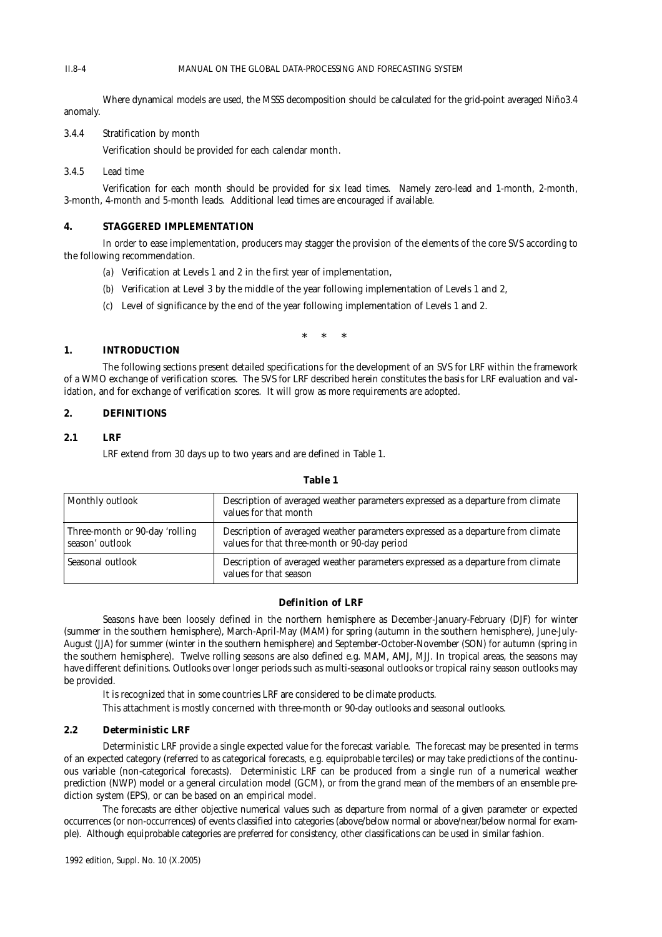### MANUAL ON THE GLOBAL DATA-PROCESSING AND FORECASTING SYSTEM

Where dynamical models are used, the MSSS decomposition should be calculated for the grid-point averaged Niño3.4 anomaly.

3.4.4 Stratification by month

Verification should be provided for each calendar month.

# 3.4.5 Lead time

II.8–4

Verification for each month should be provided for six lead times. Namely zero-lead and 1-month, 2-month, 3-month, 4-month and 5-month leads. Additional lead times are encouraged if available.

### **4. STAGGERED IMPLEMENTATION**

In order to ease implementation, producers may stagger the provision of the elements of the core SVS according to the following recommendation.

- (*a*) Verification at Levels 1 and 2 in the first year of implementation,
- (*b*) Verification at Level 3 by the middle of the year following implementation of Levels 1 and 2,
- (*c*) Level of significance by the end of the year following implementation of Levels 1 and 2.

\*\*\*

# **1. INTRODUCTION**

The following sections present detailed specifications for the development of an SVS for LRF within the framework of a WMO exchange of verification scores. The SVS for LRF described herein constitutes the basis for LRF evaluation and validation, and for exchange of verification scores. It will grow as more requirements are adopted.

# **2. DEFINITIONS**

### **2.1 LRF**

LRF extend from 30 days up to two years and are defined in Table 1.

| Monthly outlook                                   | Description of averaged weather parameters expressed as a departure from climate<br>values for that month                        |
|---------------------------------------------------|----------------------------------------------------------------------------------------------------------------------------------|
| Three-month or 90-day 'rolling<br>season' outlook | Description of averaged weather parameters expressed as a departure from climate<br>values for that three-month or 90-day period |
| Seasonal outlook                                  | Description of averaged weather parameters expressed as a departure from climate<br>values for that season                       |

#### **Table 1**

### **Definition of LRF**

Seasons have been loosely defined in the northern hemisphere as December-January-February (DJF) for winter (summer in the southern hemisphere), March-April-May (MAM) for spring (autumn in the southern hemisphere), June-July-August (JJA) for summer (winter in the southern hemisphere) and September-October-November (SON) for autumn (spring in the southern hemisphere). Twelve rolling seasons are also defined e.g. MAM, AMJ, MJJ. In tropical areas, the seasons may have different definitions. Outlooks over longer periods such as multi-seasonal outlooks or tropical rainy season outlooks may be provided.

It is recognized that in some countries LRF are considered to be climate products.

This attachment is mostly concerned with three-month or 90-day outlooks and seasonal outlooks.

# **2.2 Deterministic LRF**

Deterministic LRF provide a single expected value for the forecast variable. The forecast may be presented in terms of an expected category (referred to as categorical forecasts, e.g. equiprobable terciles) or may take predictions of the continuous variable (non-categorical forecasts). Deterministic LRF can be produced from a single run of a numerical weather prediction (NWP) model or a general circulation model (GCM), or from the grand mean of the members of an ensemble prediction system (EPS), or can be based on an empirical model.

The forecasts are either objective numerical values such as departure from normal of a given parameter or expected occurrences (or non-occurrences) of events classified into categories (above/below normal or above/near/below normal for example). Although equiprobable categories are preferred for consistency, other classifications can be used in similar fashion.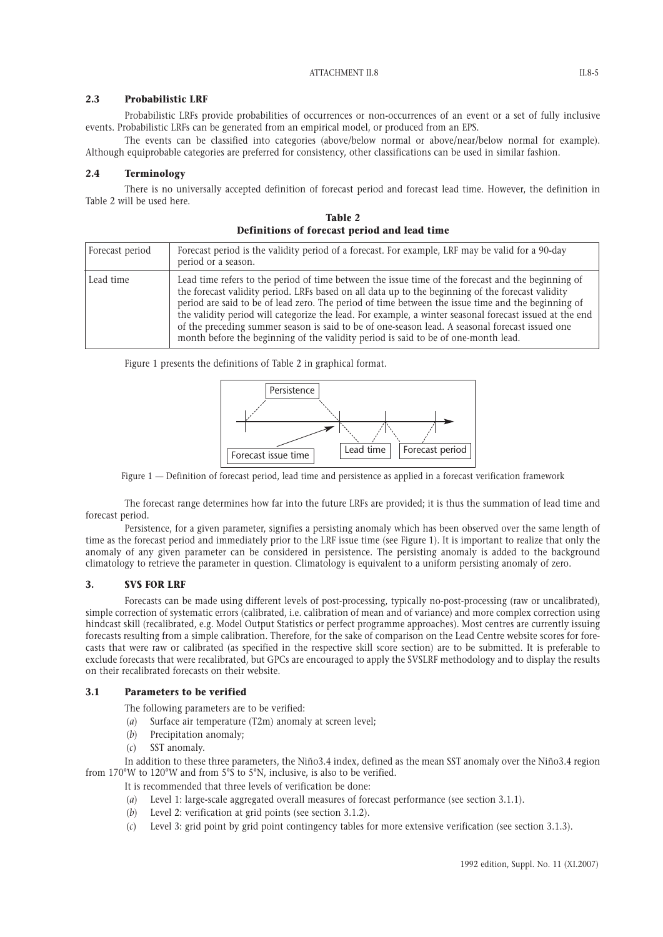# **2.3 Probabilistic LRF**

Probabilistic LRFs provide probabilities of occurrences or non-occurrences of an event or a set of fully inclusive events. Probabilistic LRFs can be generated from an empirical model, or produced from an EPS.

The events can be classified into categories (above/below normal or above/near/below normal for example). Although equiprobable categories are preferred for consistency, other classifications can be used in similar fashion.

# **2.4 Terminology**

There is no universally accepted definition of forecast period and forecast lead time. However, the definition in Table 2 will be used here.

**Table 2 Definitions of forecast period and lead time**

| Forecast period | Forecast period is the validity period of a forecast. For example, LRF may be valid for a 90-day<br>period or a season.                                                                                                                                                                                                                                                                                                                                                                                                                                                                                           |
|-----------------|-------------------------------------------------------------------------------------------------------------------------------------------------------------------------------------------------------------------------------------------------------------------------------------------------------------------------------------------------------------------------------------------------------------------------------------------------------------------------------------------------------------------------------------------------------------------------------------------------------------------|
| Lead time       | Lead time refers to the period of time between the issue time of the forecast and the beginning of<br>the forecast validity period. LRFs based on all data up to the beginning of the forecast validity<br>period are said to be of lead zero. The period of time between the issue time and the beginning of<br>the validity period will categorize the lead. For example, a winter seasonal forecast issued at the end<br>of the preceding summer season is said to be of one-season lead. A seasonal forecast issued one<br>month before the beginning of the validity period is said to be of one-month lead. |

Figure 1 presents the definitions of Table 2 in graphical format.



Figure 1 — Definition of forecast period, lead time and persistence as applied in a forecast verification framework

The forecast range determines how far into the future LRFs are provided; it is thus the summation of lead time and forecast period.

Persistence, for a given parameter, signifies a persisting anomaly which has been observed over the same length of time as the forecast period and immediately prior to the LRF issue time (see Figure 1). It is important to realize that only the anomaly of any given parameter can be considered in persistence. The persisting anomaly is added to the background climatology to retrieve the parameter in question. Climatology is equivalent to a uniform persisting anomaly of zero.

# **3. SVS FOR LRF**

Forecasts can be made using different levels of post-processing, typically no-post-processing (raw or uncalibrated), simple correction of systematic errors (calibrated, i.e. calibration of mean and of variance) and more complex correction using hindcast skill (recalibrated, e.g. Model Output Statistics or perfect programme approaches). Most centres are currently issuing forecasts resulting from a simple calibration. Therefore, for the sake of comparison on the Lead Centre website scores for forecasts that were raw or calibrated (as specified in the respective skill score section) are to be submitted. It is preferable to exclude forecasts that were recalibrated, but GPCs are encouraged to apply the SVSLRF methodology and to display the results on their recalibrated forecasts on their website.

### **3.1 Parameters to be verified**

The following parameters are to be verified:

- (*a*) Surface air temperature (T2m) anomaly at screen level;
- (*b*) Precipitation anomaly;
- (*c*) SST anomaly.

In addition to these three parameters, the Niño3.4 index, defined as the mean SST anomaly over the Niño3.4 region from 170°W to 120°W and from 5°S to 5°N, inclusive, is also to be verified.

- It is recommended that three levels of verification be done:
- (*a*) Level 1: large-scale aggregated overall measures of forecast performance (see section 3.1.1).
- (*b*) Level 2: verification at grid points (see section 3.1.2).
- (*c*) Level 3: grid point by grid point contingency tables for more extensive verification (see section 3.1.3).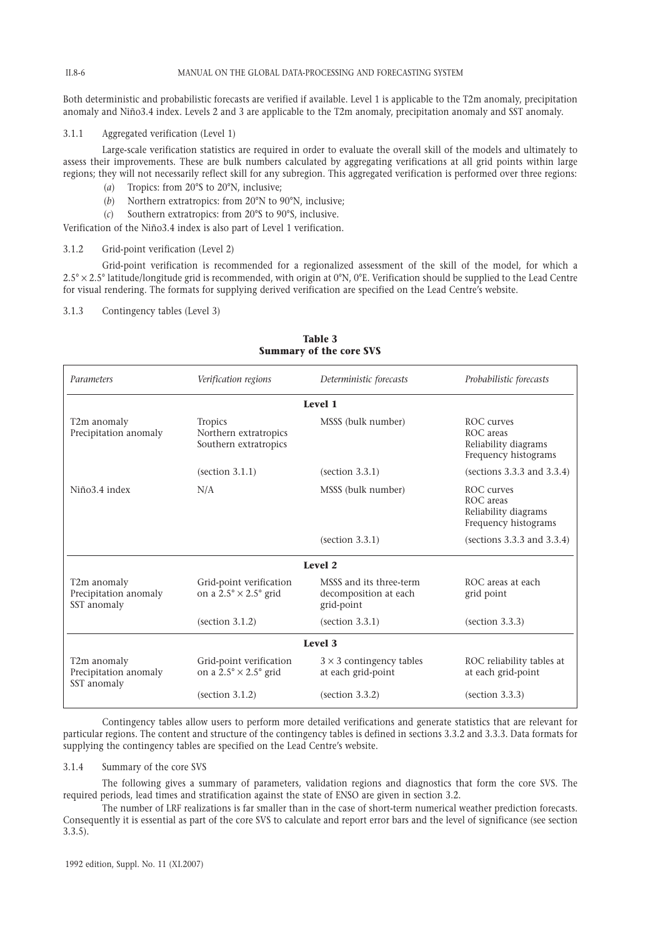#### MANUAL ON THE GLOBAL DATA-PROCESSING AND FORECASTING SYSTEM

Both deterministic and probabilistic forecasts are verified if available. Level 1 is applicable to the T2m anomaly, precipitation anomaly and Niño3.4 index. Levels 2 and 3 are applicable to the T2m anomaly, precipitation anomaly and SST anomaly.

# 3.1.1 Aggregated verification (Level 1)

Large-scale verification statistics are required in order to evaluate the overall skill of the models and ultimately to assess their improvements. These are bulk numbers calculated by aggregating verifications at all grid points within large regions; they will not necessarily reflect skill for any subregion. This aggregated verification is performed over three regions:

- (*a*) Tropics: from 20°S to 20°N, inclusive;
- (*b*) Northern extratropics: from 20°N to 90°N, inclusive;
- (*c*) Southern extratropics: from 20°S to 90°S, inclusive.

Verification of the Niño3.4 index is also part of Level 1 verification.

#### 3.1.2 Grid-point verification (Level 2)

Grid-point verification is recommended for a regionalized assessment of the skill of the model, for which a  $2.5^{\circ} \times 2.5^{\circ}$  latitude/longitude grid is recommended, with origin at 0°N, 0°E. Verification should be supplied to the Lead Centre for visual rendering. The formats for supplying derived verification are specified on the Lead Centre's website.

# 3.1.3 Contingency tables (Level 3)

| SUMMALY OF THE COLE SYS                             |                                                                       |                                                                |                                                                         |  |
|-----------------------------------------------------|-----------------------------------------------------------------------|----------------------------------------------------------------|-------------------------------------------------------------------------|--|
| Parameters                                          | Verification regions                                                  | Deterministic forecasts                                        | Probabilistic forecasts                                                 |  |
|                                                     |                                                                       | Level 1                                                        |                                                                         |  |
| T2m anomaly<br>Precipitation anomaly                | Tropics<br>Northern extratropics<br>Southern extratropics             | MSSS (bulk number)                                             | ROC curves<br>ROC areas<br>Reliability diagrams<br>Frequency histograms |  |
|                                                     | (section 3.1.1)                                                       | (section 3.3.1)                                                | (sections $3.3.3$ and $3.3.4$ )                                         |  |
| Niño3.4 index                                       | N/A                                                                   | MSSS (bulk number)                                             | ROC curves<br>ROC areas<br>Reliability diagrams<br>Frequency histograms |  |
|                                                     |                                                                       | (section 3.3.1)                                                | (sections $3.3.3$ and $3.3.4$ )                                         |  |
|                                                     |                                                                       | Level 2                                                        |                                                                         |  |
| T2m anomaly<br>Precipitation anomaly<br>SST anomaly | Grid-point verification<br>on a $2.5^{\circ} \times 2.5^{\circ}$ grid | MSSS and its three-term<br>decomposition at each<br>grid-point | ROC areas at each<br>grid point                                         |  |
|                                                     | (section 3.1.2)                                                       | (section 3.3.1)                                                | (section 3.3.3)                                                         |  |
| Level 3                                             |                                                                       |                                                                |                                                                         |  |
| T2m anomaly<br>Precipitation anomaly<br>SST anomaly | Grid-point verification<br>on a $2.5^{\circ} \times 2.5^{\circ}$ grid | $3 \times 3$ contingency tables<br>at each grid-point          | ROC reliability tables at<br>at each grid-point                         |  |
|                                                     | (section 3.1.2)                                                       | (section 3.3.2)                                                | (section 3.3.3)                                                         |  |

**Table 3 Summary of the core SVS**

Contingency tables allow users to perform more detailed verifications and generate statistics that are relevant for particular regions. The content and structure of the contingency tables is defined in sections 3.3.2 and 3.3.3. Data formats for supplying the contingency tables are specified on the Lead Centre's website.

### 3.1.4 Summary of the core SVS

The following gives a summary of parameters, validation regions and diagnostics that form the core SVS. The required periods, lead times and stratification against the state of ENSO are given in section 3.2.

The number of LRF realizations is far smaller than in the case of short-term numerical weather prediction forecasts. Consequently it is essential as part of the core SVS to calculate and report error bars and the level of significance (see section 3.3.5).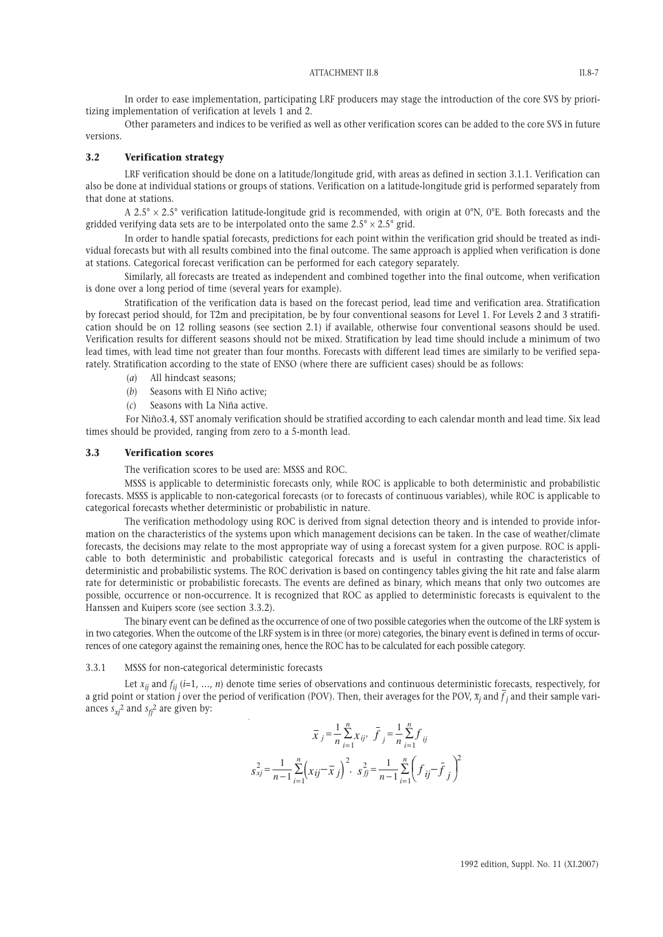In order to ease implementation, participating LRF producers may stage the introduction of the core SVS by prioritizing implementation of verification at levels 1 and 2.

Other parameters and indices to be verified as well as other verification scores can be added to the core SVS in future versions.

### **3.2 Verification strategy**

LRF verification should be done on a latitude/longitude grid, with areas as defined in section 3.1.1. Verification can also be done at individual stations or groups of stations. Verification on a latitude-longitude grid is performed separately from that done at stations.

A 2.5°  $\times$  2.5° verification latitude-longitude grid is recommended, with origin at 0°N, 0°E. Both forecasts and the gridded verifying data sets are to be interpolated onto the same  $2.5^{\circ} \times 2.5^{\circ}$  grid.

In order to handle spatial forecasts, predictions for each point within the verification grid should be treated as individual forecasts but with all results combined into the final outcome. The same approach is applied when verification is done at stations. Categorical forecast verification can be performed for each category separately.

Similarly, all forecasts are treated as independent and combined together into the final outcome, when verification is done over a long period of time (several years for example).

Stratification of the verification data is based on the forecast period, lead time and verification area. Stratification by forecast period should, for T2m and precipitation, be by four conventional seasons for Level 1. For Levels 2 and 3 stratification should be on 12 rolling seasons (see section 2.1) if available, otherwise four conventional seasons should be used. Verification results for different seasons should not be mixed. Stratification by lead time should include a minimum of two lead times, with lead time not greater than four months. Forecasts with different lead times are similarly to be verified separately. Stratification according to the state of ENSO (where there are sufficient cases) should be as follows:

- (*a*) All hindcast seasons;
- (*b*) Seasons with El Niño active;
- (*c*) Seasons with La Niña active.

For Niño3.4, SST anomaly verification should be stratified according to each calendar month and lead time. Six lead times should be provided, ranging from zero to a 5-month lead.

### **3.3 Verification scores**

The verification scores to be used are: MSSS and ROC.

MSSS is applicable to deterministic forecasts only, while ROC is applicable to both deterministic and probabilistic forecasts. MSSS is applicable to non-categorical forecasts (or to forecasts of continuous variables), while ROC is applicable to categorical forecasts whether deterministic or probabilistic in nature.

The verification methodology using ROC is derived from signal detection theory and is intended to provide information on the characteristics of the systems upon which management decisions can be taken. In the case of weather/climate forecasts, the decisions may relate to the most appropriate way of using a forecast system for a given purpose. ROC is applicable to both deterministic and probabilistic categorical forecasts and is useful in contrasting the characteristics of deterministic and probabilistic systems. The ROC derivation is based on contingency tables giving the hit rate and false alarm rate for deterministic or probabilistic forecasts. The events are defined as binary, which means that only two outcomes are possible, occurrence or non-occurrence. It is recognized that ROC as applied to deterministic forecasts is equivalent to the Hanssen and Kuipers score (see section 3.3.2).

The binary event can be defined as the occurrence of one of two possible categories when the outcome of the LRF system is in two categories. When the outcome of the LRF system is in three (or more) categories, the binary event is defined in terms of occurrences of one category against the remaining ones, hence the ROC has to be calculated for each possible category.

#### 3.3.1 MSSS for non-categorical deterministic forecasts

Let  $x_{ij}$  and  $f_{ij}$  ( $i=1, ..., n$ ) denote time series of observations and continuous deterministic forecasts, respectively, for a grid point or station *j* over the period of verification (POV). Then, their averages for the POV,  $\bar{x}_j$  and  $\bar{f}_j$  and their sample variances  $s_{xi}^2$  and  $s_{fi}^2$  are given by:

$$
\overline{x}_{j} = \frac{1}{n} \sum_{i=1}^{n} x_{ij}, \quad \overline{f}_{j} = \frac{1}{n} \sum_{i=1}^{n} f_{ij}
$$

$$
s_{xj}^{2} = \frac{1}{n-1} \sum_{i=1}^{n} \left( x_{ij} - \overline{x}_{j} \right)^{2}, \quad s_{jj}^{2} = \frac{1}{n-1} \sum_{i=1}^{n} \left( f_{ij} - \overline{f}_{j} \right)^{2}
$$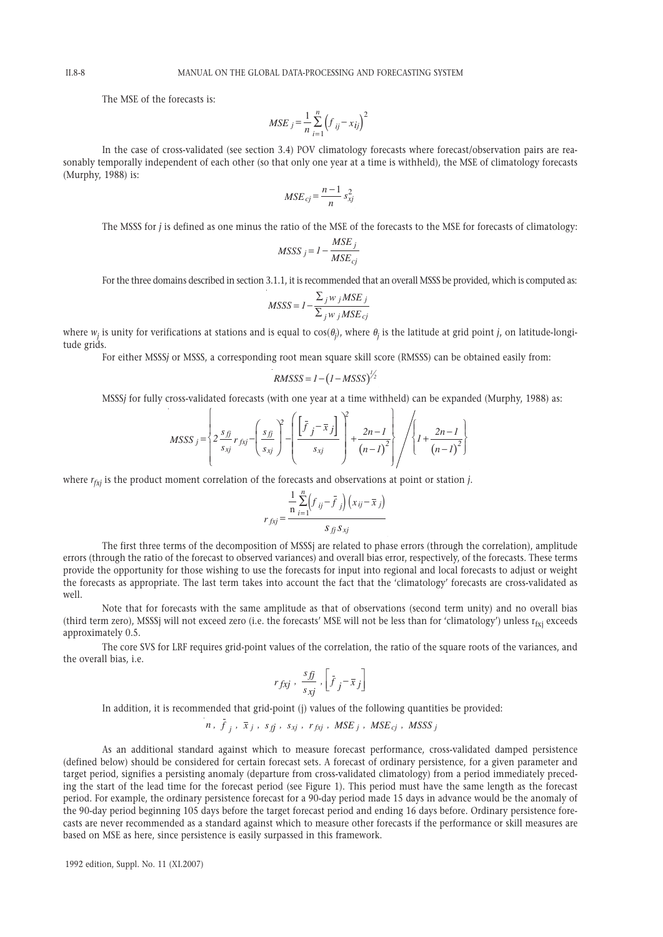The MSE of the forecasts is:

$$
MSE_{j} = \frac{1}{n} \sum_{i=1}^{n} (f_{ij} - x_{ij})^{2}
$$

In the case of cross-validated (see section 3.4) POV climatology forecasts where forecast/observation pairs are reasonably temporally independent of each other (so that only one year at a time is withheld), the MSE of climatology forecasts (Murphy, 1988) is:

$$
MSE_{cj} = \frac{n-1}{n} s_{xj}^2
$$

The MSSS for *j* is defined as one minus the ratio of the MSE of the forecasts to the MSE for forecasts of climatology:

$$
MSSS_j = l - \frac{MSE_j}{MSE_{cj}}
$$

For the three domains described in section 3.1.1, it is recommended that an overall MSSS be provided, which is computed as:

$$
MSSS = I - \frac{\sum_{j} w_{j} MSE_{j}}{\sum_{j} w_{j} MSE_{cj}}
$$

where  $w_j$  is unity for verifications at stations and is equal to cos(θ<sub>j</sub>), where θ<sub>j</sub> is the latitude at grid point *j*, on latitude-longitude grids.

For either MSSS*j* or MSSS, a corresponding root mean square skill score (RMSSS) can be obtained easily from:

$$
RMSSS = I - \left(I - MSSS\right)^{1/2}
$$

MSSS*j* for fully cross-validated forecasts (with one year at a time withheld) can be expanded (Murphy, 1988) as:

$$
MSSS_{j} = \left\{ 2 \frac{s_{fj}}{s_{xj}} r_{fxi} - \left( \frac{s_{fj}}{s_{xj}} \right)^{2} - \left( \frac{\left[ \bar{f}_{j} - \bar{x}_{j} \right] }{s_{xj}} \right)^{2} + \frac{2n-1}{\left( n-1 \right)^{2}} \right\} / \left\{ 1 + \frac{2n-1}{\left( n-1 \right)^{2}} \right\}
$$

where  $r_{fxi}$  is the product moment correlation of the forecasts and observations at point or station *j*.

$$
r_{f x j} = \frac{\frac{1}{n} \sum_{i=1}^{n} (f_{ij} - \bar{f}_{j}) (x_{ij} - \bar{x}_{j})}{s_{f j} s_{x j}}
$$

The first three terms of the decomposition of MSSSi are related to phase errors (through the correlation), amplitude errors (through the ratio of the forecast to observed variances) and overall bias error, respectively, of the forecasts. These terms provide the opportunity for those wishing to use the forecasts for input into regional and local forecasts to adjust or weight the forecasts as appropriate. The last term takes into account the fact that the 'climatology' forecasts are cross-validated as  $w<sub>e</sub>11$ 

Note that for forecasts with the same amplitude as that of observations (second term unity) and no overall bias (third term zero), MSSSj will not exceed zero (i.e. the forecasts' MSE will not be less than for 'climatology') unless  $r_{fvi}$  exceeds approximately 0.5.

The core SVS for LRF requires grid-point values of the correlation, the ratio of the square roots of the variances, and the overall bias, i.e.

$$
r_{fxi} \, , \, \frac{s_{fj}}{s_{xj}} \, , \left[ \bar{f}_j - \bar{x}_j \right]
$$

In addition, it is recommended that grid-point (j) values of the following quantities be provided:

$$
n, f_j, \bar{x}_j, s_{fj}, s_{xj}, r_{fxj}, MSE_j, MSE_c, MSE_s
$$

As an additional standard against which to measure forecast performance, cross-validated damped persistence (defined below) should be considered for certain forecast sets. A forecast of ordinary persistence, for a given parameter and target period, signifies a persisting anomaly (departure from cross-validated climatology) from a period immediately preceding the start of the lead time for the forecast period (see Figure 1). This period must have the same length as the forecast period. For example, the ordinary persistence forecast for a 90-day period made 15 days in advance would be the anomaly of the 90-day period beginning 105 days before the target forecast period and ending 16 days before. Ordinary persistence forecasts are never recommended as a standard against which to measure other forecasts if the performance or skill measures are based on MSE as here, since persistence is easily surpassed in this framework.

1992 edition, Suppl. No. 11 (XI.2007)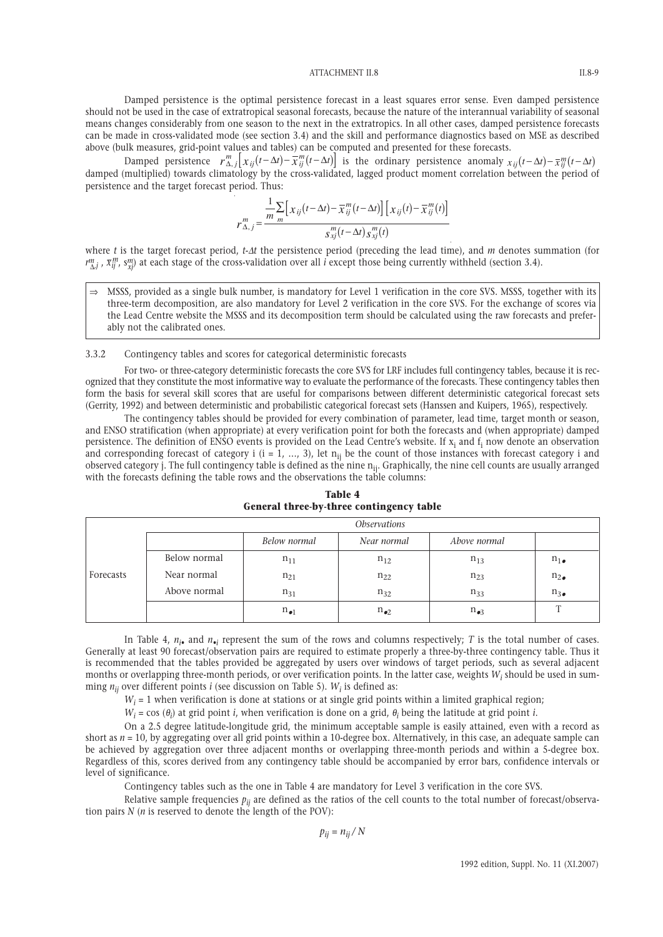Damped persistence is the optimal persistence forecast in a least squares error sense. Even damped persistence should not be used in the case of extratropical seasonal forecasts, because the nature of the interannual variability of seasonal means changes considerably from one season to the next in the extratropics. In all other cases, damped persistence forecasts can be made in cross-validated mode (see section 3.4) and the skill and performance diagnostics based on MSE as described above (bulk measures, grid-point values and tables) can be computed and presented for these forecasts.

Damped persistence  $r_{\Delta,j}^m\left[x_{ij}(t-\Delta t)-\overline{x}_{ij}^m(t-\Delta t)\right]$  is the ordinary persistence anomaly  $x_{ij}(t-\Delta t)-\overline{x}_{ij}^m(t-\Delta t)$ damped (multiplied) towards climatology by the cross-validated, lagged product moment correlation between the period of persistence and the target forecast period. Thus:

$$
r_{\Delta,j}^m = \frac{\frac{1}{m} \sum_{m} \left[ x_{ij} (t - \Delta t) - \overline{x}_{ij}^m (t - \Delta t) \right] \left[ x_{ij} (t) - \overline{x}_{ij}^m (t) \right]}{s_{xj}^m (t - \Delta t) s_{xj}^m (t)}
$$

where *t* is the target forecast period, *t*-∆*t* the persistence period (preceding the lead time), and *m* denotes summation (for  $r^m_{\Delta,j}$ ,  $\bar{x}^m_{ij}$ ,  $s^m_{xj}$ ) at each stage of the cross-validation over all *i* except those being currently withheld (section 3.4).

⇒ MSSS, provided as a single bulk number, is mandatory for Level 1 verification in the core SVS. MSSS, together with its three-term decomposition, are also mandatory for Level 2 verification in the core SVS. For the exchange of scores via the Lead Centre website the MSSS and its decomposition term should be calculated using the raw forecasts and preferably not the calibrated ones.

### 3.3.2 Contingency tables and scores for categorical deterministic forecasts

For two- or three-category deterministic forecasts the core SVS for LRF includes full contingency tables, because it is recognized that they constitute the most informative way to evaluate the performance of the forecasts. These contingency tables then form the basis for several skill scores that are useful for comparisons between different deterministic categorical forecast sets (Gerrity, 1992) and between deterministic and probabilistic categorical forecast sets (Hanssen and Kuipers, 1965), respectively.

The contingency tables should be provided for every combination of parameter, lead time, target month or season, and ENSO stratification (when appropriate) at every verification point for both the forecasts and (when appropriate) damped persistence. The definition of ENSO events is provided on the Lead Centre's website. If  $x_i$  and  $f_i$  now denote an observation and corresponding forecast of category i  $(i = 1, ..., 3)$ , let  $n_{ij}$  be the count of those instances with forecast category i and observed category j. The full contingency table is defined as the nine n<sub>ij</sub>. Graphically, the nine cell counts are usually arranged with the forecasts defining the table rows and the observations the table columns:

|           | <i><b>Observations</b></i> |                 |                 |                 |                |
|-----------|----------------------------|-----------------|-----------------|-----------------|----------------|
|           |                            | Below normal    | Near normal     | Above normal    |                |
|           | Below normal               | $n_{11}$        | $n_{12}$        | $n_{13}$        | $n_{1\bullet}$ |
| Forecasts | Near normal                | $n_{21}$        | $n_{22}$        | $n_{23}$        | $n_{2\bullet}$ |
|           | Above normal               | $n_{31}$        | $n_{32}$        | $n_{33}$        | $n_{3\bullet}$ |
|           |                            | $n_{\bullet 1}$ | $n_{\bullet 2}$ | $n_{\bullet 3}$ |                |

**Table 4 General three-by-three contingency table**

In Table 4,  $n_{i\bullet}$  and  $n_{\bullet i}$  represent the sum of the rows and columns respectively; *T* is the total number of cases. Generally at least 90 forecast/observation pairs are required to estimate properly a three-by-three contingency table. Thus it is recommended that the tables provided be aggregated by users over windows of target periods, such as several adjacent months or overlapping three-month periods, or over verification points. In the latter case, weights  $W_i$  should be used in summing  $n_{ij}$  over different points *i* (see discussion on Table 5).  $W_i$  is defined as:

 $W_i = 1$  when verification is done at stations or at single grid points within a limited graphical region;

 $W_i$  = cos ( $\theta_i$ ) at grid point *i*, when verification is done on a grid,  $\theta_i$  being the latitude at grid point *i*.

On a 2.5 degree latitude-longitude grid, the minimum acceptable sample is easily attained, even with a record as short as  $n = 10$ , by aggregating over all grid points within a 10-degree box. Alternatively, in this case, an adequate sample can be achieved by aggregation over three adjacent months or overlapping three-month periods and within a 5-degree box. Regardless of this, scores derived from any contingency table should be accompanied by error bars, confidence intervals or level of significance.

Contingency tables such as the one in Table 4 are mandatory for Level 3 verification in the core SVS.

Relative sample frequencies  $p_{ij}$  are defined as the ratios of the cell counts to the total number of forecast/observation pairs *N* (*n* is reserved to denote the length of the POV):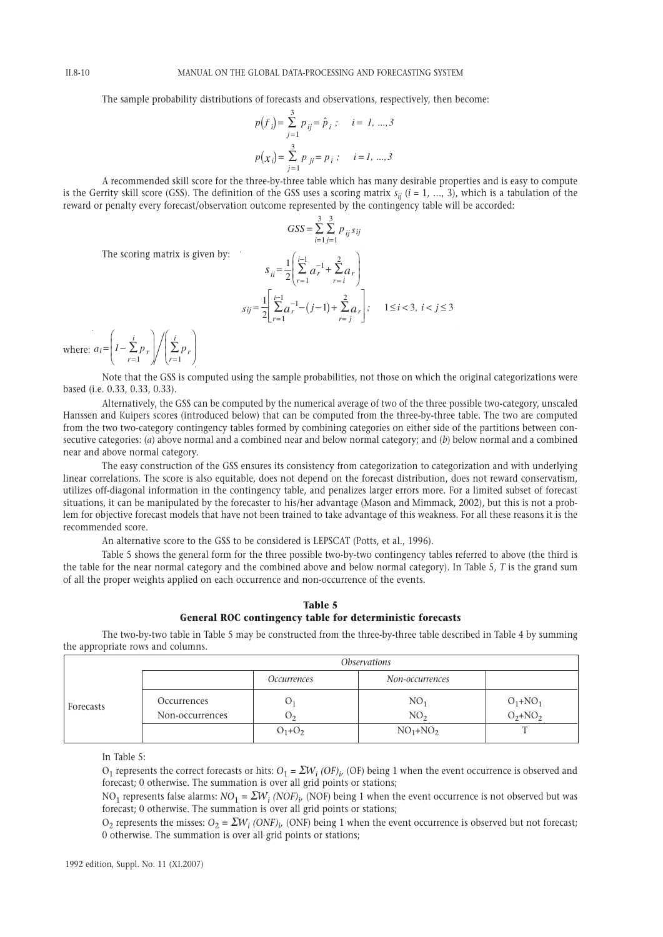The sample probability distributions of forecasts and observations, respectively, then become:

$$
p(f_i) = \sum_{j=1}^{3} p_{ij} = \hat{p}_i ; \quad i = 1, ..., 3
$$
  

$$
p(x_i) = \sum_{j=1}^{3} p_{ji} = p_i ; \quad i = 1, ..., 3
$$

A recommended skill score for the three-by-three table which has many desirable properties and is easy to compute is the Gerrity skill score (GSS). The definition of the GSS uses a scoring matrix  $s_{ij}$  ( $i = 1, ..., 3$ ), which is a tabulation of the reward or penalty every forecast/observation outcome represented by the contingency table will be accorded:

> 1 3

 $GSS =$ 

The scoring matrix is given by:

$$
S_{ii} = \frac{1}{2} \left( \sum_{r=1}^{i-1} a_r^{-1} + \sum_{r=i}^{2} a_r \right)
$$
  

$$
S_{ij} = \frac{1}{2} \left[ \sum_{r=1}^{i-1} a_r^{-1} - (j-1) + \sum_{r=j}^{2} a_r \right]; \quad 1 \le i < 3, i < j \le 3
$$

 $\sum_{i=1}$   $\sum_{j=1}$   $p_{ij}$   $s_{ij}$ 3

where:  $a_i = \begin{cases} I - \sum p_i \\ r = 1 \end{cases}$ *i*  $\frac{L}{r=1}$ <br>*r*=1  $a_i = \left(1 - \sum_{r=1}^{i} p_r\right) / \left(\sum_{r=1}^{i} p_r\right)$ ſ l I  $\overline{a}$  $\overline{1}$ ſ l  $\overline{\phantom{a}}$ ľ  $\overline{1}$  $\sum_{r=1} P_r \left| \frac{\sum p_r}{r-1} \right|$ 1  $\frac{1}{r-1}$ 

Note that the GSS is computed using the sample probabilities, not those on which the original categorizations were based (i.e. 0.33, 0.33, 0.33).

Alternatively, the GSS can be computed by the numerical average of two of the three possible two-category, unscaled Hanssen and Kuipers scores (introduced below) that can be computed from the three-by-three table. The two are computed from the two two-category contingency tables formed by combining categories on either side of the partitions between consecutive categories: (*a*) above normal and a combined near and below normal category; and (*b*) below normal and a combined near and above normal category.

The easy construction of the GSS ensures its consistency from categorization to categorization and with underlying linear correlations. The score is also equitable, does not depend on the forecast distribution, does not reward conservatism, utilizes off-diagonal information in the contingency table, and penalizes larger errors more. For a limited subset of forecast situations, it can be manipulated by the forecaster to his/her advantage (Mason and Mimmack, 2002), but this is not a problem for objective forecast models that have not been trained to take advantage of this weakness. For all these reasons it is the recommended score.

An alternative score to the GSS to be considered is LEPSCAT (Potts, et al., 1996).

Table 5 shows the general form for the three possible two-by-two contingency tables referred to above (the third is the table for the near normal category and the combined above and below normal category). In Table 5, *T* is the grand sum of all the proper weights applied on each occurrence and non-occurrence of the events.

|  | Table 5 |                                                           |  |
|--|---------|-----------------------------------------------------------|--|
|  |         | General ROC contingency table for deterministic forecasts |  |

The two-by-two table in Table 5 may be constructed from the three-by-three table described in Table 4 by summing the appropriate rows and columns.

|           | <i><b>Observations</b></i>     |                    |                           |                              |
|-----------|--------------------------------|--------------------|---------------------------|------------------------------|
|           |                                | <i>Occurrences</i> | Non-occurrences           |                              |
| Forecasts | Occurrences<br>Non-occurrences | $\mathbf{U}$<br>v٥ | $NO_1$<br>NO <sub>2</sub> | $O_1 + NO_1$<br>$O_2 + NO_2$ |
|           |                                | $O_1 + O_2$        | $NO_1 + NO_2$             |                              |

In Table 5:

 $O_1$  represents the correct forecasts or hits:  $O_1 = \sum W_i (OF)_{i'}$  (OF) being 1 when the event occurrence is observed and forecast; 0 otherwise. The summation is over all grid points or stations;

NO<sub>1</sub> represents false alarms:  $NO_1 = \Sigma W_i$  (NOF) $_\nu$  (NOF) being 1 when the event occurrence is not observed but was forecast; 0 otherwise. The summation is over all grid points or stations;

 $O_2$  represents the misses:  $O_2 = \sum W_i (ONF)_i$  (ONF) being 1 when the event occurrence is observed but not forecast; 0 otherwise. The summation is over all grid points or stations;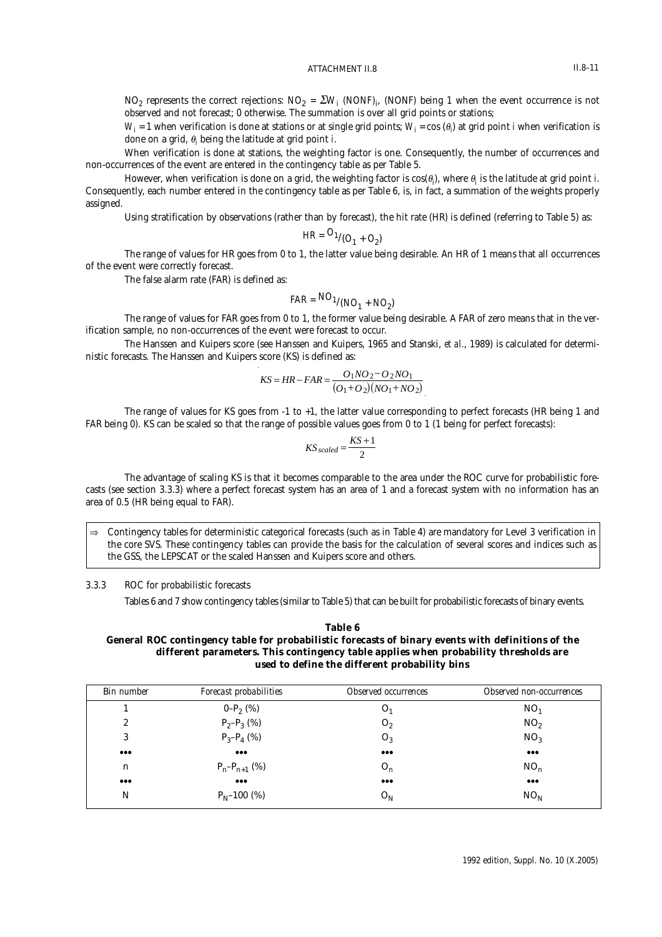$NO_2$  represents the correct rejections:  $NO_2$  *=*  $\Sigma W_i$  *(NONF)*<sub>i</sub>, (NONF) being 1 when the event occurrence is not observed and not forecast; 0 otherwise. The summation is over all grid points or stations;

 $W_i$  = 1 when verification is done at stations or at single grid points;  $W_i$  = cos ( $\theta_i$ ) at grid point *i* when verification is done on a grid, θ*<sup>i</sup>* being the latitude at grid point *i*.

When verification is done at stations, the weighting factor is one. Consequently, the number of occurrences and non-occurrences of the event are entered in the contingency table as per Table 5.

However, when verification is done on a grid, the weighting factor is  $\cos(\theta_i)$ , where  $\theta_i$  is the latitude at grid point *i*. Consequently, each number entered in the contingency table as per Table 6, is, in fact, a summation of the weights properly assigned.

Using stratification by observations (rather than by forecast), the hit rate (HR) is defined (referring to Table 5) as:

$$
HR = \frac{O_{1}}{O_{1} + O_{2}}
$$

The range of values for HR goes from 0 to 1, the latter value being desirable. An HR of 1 means that all occurrences of the event were correctly forecast.

The false alarm rate (FAR) is defined as:

$$
FAR = NO_1 / (NO_1 + NO_2)
$$

The range of values for FAR goes from 0 to 1, the former value being desirable. A FAR of zero means that in the verification sample, no non-occurrences of the event were forecast to occur.

The Hanssen and Kuipers score (see Hanssen and Kuipers, 1965 and Stanski, *et al.*, 1989) is calculated for deterministic forecasts. The Hanssen and Kuipers score (KS) is defined as:

$$
KS = HR - FAR = \frac{O_1NO_2 - O_2NO_1}{(O_1 + O_2)(NO_1 + NO_2)}
$$

The range of values for KS goes from -1 to +1, the latter value corresponding to perfect forecasts (HR being 1 and FAR being 0). KS can be scaled so that the range of possible values goes from 0 to 1 (1 being for perfect forecasts):

$$
KS_{scaled} = \frac{KS + 1}{2}
$$

The advantage of scaling KS is that it becomes comparable to the area under the ROC curve for probabilistic forecasts (see section 3.3.3) where a perfect forecast system has an area of 1 and a forecast system with no information has an area of 0.5 (HR being equal to FAR).

⇒ Contingency tables for deterministic categorical forecasts (such as in Table 4) are mandatory for Level 3 verification in the core SVS. These contingency tables can provide the basis for the calculation of several scores and indices such as the GSS, the LEPSCAT or the scaled Hanssen and Kuipers score and others.

### 3.3.3 ROC for probabilistic forecasts

Tables 6 and 7 show contingency tables (similar to Table 5) that can be built for probabilistic forecasts of binary events.

# **Table 6 General ROC contingency table for probabilistic forecasts of binary events with definitions of the different parameters. This contingency table applies when probability thresholds are used to define the different probability bins**

| <b>Bin number</b>       | Forecast probabilities  | <b>Observed occurrences</b> | Observed non-occurrences |
|-------------------------|-------------------------|-----------------------------|--------------------------|
|                         | $0-P_2(%)$              | O <sub>1</sub>              | NO <sub>1</sub>          |
| $\boldsymbol{2}$        | $P_2-P_3$ (%)           | O <sub>2</sub>              | NO <sub>2</sub>          |
| 3                       | $P_3-P_4$ (%)           | $O_3$                       | NO <sub>3</sub>          |
| $\bullet\bullet\bullet$ | $\bullet\bullet\bullet$ | $\bullet\bullet\bullet$     | $\bullet\bullet\bullet$  |
| n                       | $P_n-P_{n+1}$ (%)       | $O_n$                       | NO <sub>n</sub>          |
| $\bullet\bullet\bullet$ | $\bullet\bullet\bullet$ | $\bullet\bullet\bullet$     | $\bullet\bullet\bullet$  |
| N                       | $P_N - 100$ (%)         | O <sub>N</sub>              | NO <sub>N</sub>          |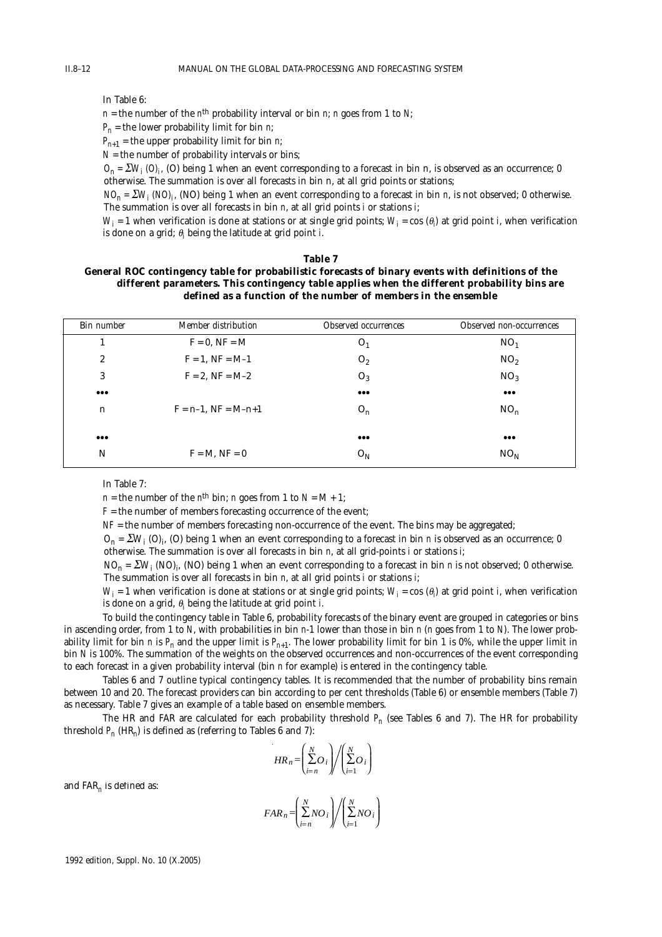In Table 6:

 $n =$  the number of the *n*<sup>th</sup> probability interval or bin *n*; *n* goes from 1 to *N*;

 $P_n$  = the lower probability limit for bin *n*;

 $P_{n+1}$  = the upper probability limit for bin *n*;

 $N =$  the number of probability intervals or bins;

 $O_n = \sum W_i / O_i$  *(O)* being 1 when an event corresponding to a forecast in bin n, is observed as an occurrence; 0 otherwise. The summation is over all forecasts in bin n, at all grid points or stations;

 $NO<sub>n</sub> = \Sigma W<sub>i</sub> (NO)<sub>i</sub>$ , (NO) being 1 when an event corresponding to a forecast in bin *n*, is not observed; 0 otherwise. The summation is over all forecasts in bin *n*, at all grid points *i* or stations *i*;

 $W_i$  = 1 when verification is done at stations or at single grid points;  $W_i$  = cos (θ<sub>i</sub>) at grid point *i*, when verification is done on a grid; θ*<sup>i</sup>* being the latitude at grid point *i*.

#### **Table 7**

### **General ROC contingency table for probabilistic forecasts of binary events with definitions of the different parameters. This contingency table applies when the different probability bins are defined as a function of the number of members in the ensemble**

| <b>Bin number</b>       | <b>Member distribution</b> | <b>Observed occurrences</b> | <b>Observed non-occurrences</b> |
|-------------------------|----------------------------|-----------------------------|---------------------------------|
|                         | $F = 0$ , $NF = M$         | O <sub>1</sub>              | $NO_1$                          |
| $\boldsymbol{2}$        | $F = 1$ , $NF = M-1$       | O <sub>2</sub>              | NO <sub>2</sub>                 |
| 3                       | $F = 2$ , $NF = M-2$       | $O_3$                       | NO <sub>3</sub>                 |
| $\bullet\bullet\bullet$ |                            | $\bullet\bullet\bullet$     | $\bullet\bullet\bullet$         |
| n                       | $F = n-1$ , $NF = M-n+1$   | $O_n$                       | NO <sub>n</sub>                 |
|                         |                            |                             |                                 |
| $\bullet\bullet\bullet$ |                            | $\bullet\bullet\bullet$     | $\bullet\bullet\bullet$         |
| N                       | $F = M$ , $NF = 0$         | $O_{N}$                     | NO <sub>N</sub>                 |
|                         |                            |                             |                                 |

In Table 7:

*n* = the number of the *n*<sup>th</sup> bin; *n* goes from 1 to  $N = M + 1$ ;

 $F =$  the number of members forecasting occurrence of the event;

*NF* = the number of members forecasting non-occurrence of the event. The bins may be aggregated;

 $O_n$  =  $\sum W_i$  (O)<sub>i</sub>, (O) being 1 when an event corresponding to a forecast in bin *n* is observed as an occurrence; 0 otherwise. The summation is over all forecasts in bin *n*, at all grid-points *i* or stations *i*;

 $NO_n$  =  $\sum W_i$  (NO)<sub>i</sub>, (NO) being 1 when an event corresponding to a forecast in bin *n* is not observed; 0 otherwise. The summation is over all forecasts in bin *n*, at all grid points *i* or stations *i*;

 $W_i$  = 1 when verification is done at stations or at single grid points;  $W_i$  = cos (θ<sub>i</sub>) at grid point *i*, when verification is done on a grid, θ*<sup>i</sup>* being the latitude at grid point *i*.

To build the contingency table in Table 6, probability forecasts of the binary event are grouped in categories or bins in ascending order, from 1 to *N*, with probabilities in bin *n*-1 lower than those in bin *n* (*n* goes from 1 to *N*). The lower probability limit for bin *n* is  $P_n$  and the upper limit is  $P_{n+1}$ . The lower probability limit for bin 1 is 0%, while the upper limit in bin *N* is 100%. The summation of the weights on the observed occurrences and non-occurrences of the event corresponding to each forecast in a given probability interval (bin *n* for example) is entered in the contingency table.

Tables 6 and 7 outline typical contingency tables. It is recommended that the number of probability bins remain between 10 and 20. The forecast providers can bin according to per cent thresholds (Table 6) or ensemble members (Table 7) as necessary. Table 7 gives an example of a table based on ensemble members.

The HR and FAR are calculated for each probability threshold *Pn* (see Tables 6 and 7). The HR for probability threshold  $P_n$  (HR<sub>n</sub>) is defined as (referring to Tables 6 and 7):

$$
HR_n = \left(\sum_{i=n}^{N} O_i\right) / \left(\sum_{i=1}^{N} O_i\right)
$$

and FAR*<sup>n</sup>* is defined as:

$$
FAR_n = \left(\sum_{i=n}^{N} NO_i\right) / \left(\sum_{i=1}^{N} NO_i\right)
$$

1992 edition, Suppl. No. 10 (X.2005)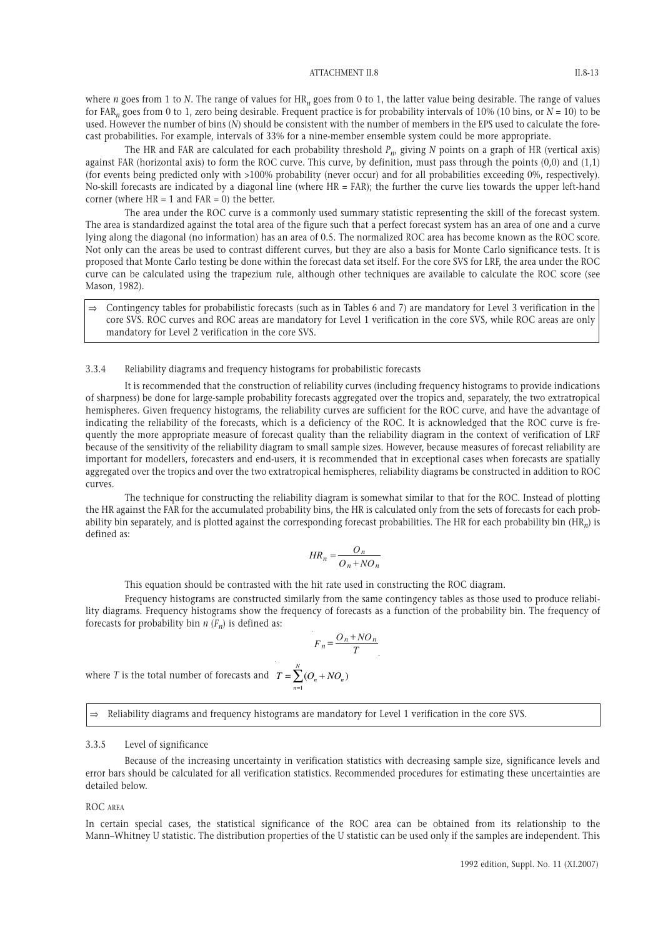where *n* goes from 1 to *N*. The range of values for HR<sub>n</sub> goes from 0 to 1, the latter value being desirable. The range of values for FAR*<sup>n</sup>* goes from 0 to 1, zero being desirable. Frequent practice is for probability intervals of 10% (10 bins, or *N* = 10) to be used. However the number of bins (*N*) should be consistent with the number of members in the EPS used to calculate the forecast probabilities. For example, intervals of 33% for a nine-member ensemble system could be more appropriate.

The HR and FAR are calculated for each probability threshold *Pn*, giving *N* points on a graph of HR (vertical axis) against FAR (horizontal axis) to form the ROC curve. This curve, by definition, must pass through the points (0,0) and (1,1) (for events being predicted only with >100% probability (never occur) and for all probabilities exceeding 0%, respectively). No-skill forecasts are indicated by a diagonal line (where HR = FAR); the further the curve lies towards the upper left-hand corner (where  $HR = 1$  and  $FAR = 0$ ) the better.

The area under the ROC curve is a commonly used summary statistic representing the skill of the forecast system. The area is standardized against the total area of the figure such that a perfect forecast system has an area of one and a curve lying along the diagonal (no information) has an area of 0.5. The normalized ROC area has become known as the ROC score. Not only can the areas be used to contrast different curves, but they are also a basis for Monte Carlo significance tests. It is proposed that Monte Carlo testing be done within the forecast data set itself. For the core SVS for LRF, the area under the ROC curve can be calculated using the trapezium rule, although other techniques are available to calculate the ROC score (see Mason, 1982).

⇒ Contingency tables for probabilistic forecasts (such as in Tables 6 and 7) are mandatory for Level 3 verification in the core SVS. ROC curves and ROC areas are mandatory for Level 1 verification in the core SVS, while ROC areas are only mandatory for Level 2 verification in the core SVS.

### 3.3.4 Reliability diagrams and frequency histograms for probabilistic forecasts

It is recommended that the construction of reliability curves (including frequency histograms to provide indications of sharpness) be done for large-sample probability forecasts aggregated over the tropics and, separately, the two extratropical hemispheres. Given frequency histograms, the reliability curves are sufficient for the ROC curve, and have the advantage of indicating the reliability of the forecasts, which is a deficiency of the ROC. It is acknowledged that the ROC curve is frequently the more appropriate measure of forecast quality than the reliability diagram in the context of verification of LRF because of the sensitivity of the reliability diagram to small sample sizes. However, because measures of forecast reliability are important for modellers, forecasters and end-users, it is recommended that in exceptional cases when forecasts are spatially aggregated over the tropics and over the two extratropical hemispheres, reliability diagrams be constructed in addition to ROC curves.

The technique for constructing the reliability diagram is somewhat similar to that for the ROC. Instead of plotting the HR against the FAR for the accumulated probability bins, the HR is calculated only from the sets of forecasts for each probability bin separately, and is plotted against the corresponding forecast probabilities. The HR for each probability bin (HR*n*) is defined as:

$$
HR_n = \frac{O_n}{O_n + NO_n}
$$

This equation should be contrasted with the hit rate used in constructing the ROC diagram.

Frequency histograms are constructed similarly from the same contingency tables as those used to produce reliability diagrams. Frequency histograms show the frequency of forecasts as a function of the probability bin. The frequency of forecasts for probability bin  $n(F_n)$  is defined as:

$$
F_n = \frac{O_n + NO_n}{T}
$$

where *T* is the total number of forecasts and  $T = \sum_{n=1}^{n} (O_n + NO_n)$  $=\sum_{n=0}^{N}(O_{n}+$  $\sum_{n=1}$   $(O_n + NO_n)$ 

⇒ Reliability diagrams and frequency histograms are mandatory for Level 1 verification in the core SVS.

# 3.3.5 Level of significance

Because of the increasing uncertainty in verification statistics with decreasing sample size, significance levels and error bars should be calculated for all verification statistics. Recommended procedures for estimating these uncertainties are detailed below.

#### ROC AREA

In certain special cases, the statistical significance of the ROC area can be obtained from its relationship to the Mann–Whitney U statistic. The distribution properties of the U statistic can be used only if the samples are independent. This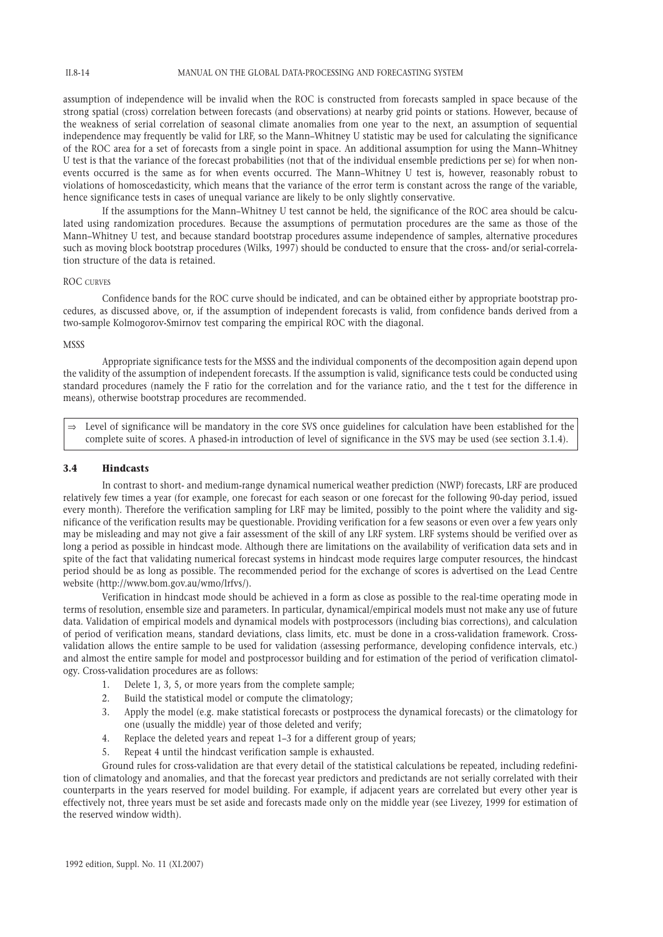II.8-14

assumption of independence will be invalid when the ROC is constructed from forecasts sampled in space because of the strong spatial (cross) correlation between forecasts (and observations) at nearby grid points or stations. However, because of the weakness of serial correlation of seasonal climate anomalies from one year to the next, an assumption of sequential independence may frequently be valid for LRF, so the Mann–Whitney U statistic may be used for calculating the significance of the ROC area for a set of forecasts from a single point in space. An additional assumption for using the Mann–Whitney U test is that the variance of the forecast probabilities (not that of the individual ensemble predictions per se) for when nonevents occurred is the same as for when events occurred. The Mann–Whitney U test is, however, reasonably robust to violations of homoscedasticity, which means that the variance of the error term is constant across the range of the variable, hence significance tests in cases of unequal variance are likely to be only slightly conservative.

If the assumptions for the Mann–Whitney U test cannot be held, the significance of the ROC area should be calculated using randomization procedures. Because the assumptions of permutation procedures are the same as those of the Mann–Whitney U test, and because standard bootstrap procedures assume independence of samples, alternative procedures such as moving block bootstrap procedures (Wilks, 1997) should be conducted to ensure that the cross- and/or serial-correlation structure of the data is retained.

#### ROC CURVES

Confidence bands for the ROC curve should be indicated, and can be obtained either by appropriate bootstrap procedures, as discussed above, or, if the assumption of independent forecasts is valid, from confidence bands derived from a two-sample Kolmogorov-Smirnov test comparing the empirical ROC with the diagonal.

#### **MSSS**

Appropriate significance tests for the MSSS and the individual components of the decomposition again depend upon the validity of the assumption of independent forecasts. If the assumption is valid, significance tests could be conducted using standard procedures (namely the F ratio for the correlation and for the variance ratio, and the t test for the difference in means), otherwise bootstrap procedures are recommended.

⇒ Level of significance will be mandatory in the core SVS once guidelines for calculation have been established for the complete suite of scores. A phased-in introduction of level of significance in the SVS may be used (see section 3.1.4).

# **3.4 Hindcasts**

In contrast to short- and medium-range dynamical numerical weather prediction (NWP) forecasts, LRF are produced relatively few times a year (for example, one forecast for each season or one forecast for the following 90-day period, issued every month). Therefore the verification sampling for LRF may be limited, possibly to the point where the validity and significance of the verification results may be questionable. Providing verification for a few seasons or even over a few years only may be misleading and may not give a fair assessment of the skill of any LRF system. LRF systems should be verified over as long a period as possible in hindcast mode. Although there are limitations on the availability of verification data sets and in spite of the fact that validating numerical forecast systems in hindcast mode requires large computer resources, the hindcast period should be as long as possible. The recommended period for the exchange of scores is advertised on the Lead Centre website (http://www.bom.gov.au/wmo/lrfvs/).

Verification in hindcast mode should be achieved in a form as close as possible to the real-time operating mode in terms of resolution, ensemble size and parameters. In particular, dynamical/empirical models must not make any use of future data. Validation of empirical models and dynamical models with postprocessors (including bias corrections), and calculation of period of verification means, standard deviations, class limits, etc. must be done in a cross-validation framework. Crossvalidation allows the entire sample to be used for validation (assessing performance, developing confidence intervals, etc.) and almost the entire sample for model and postprocessor building and for estimation of the period of verification climatology. Cross-validation procedures are as follows:

- 1. Delete 1, 3, 5, or more years from the complete sample;
- 2. Build the statistical model or compute the climatology;
- 3. Apply the model (e.g. make statistical forecasts or postprocess the dynamical forecasts) or the climatology for one (usually the middle) year of those deleted and verify;
- 4. Replace the deleted years and repeat 1–3 for a different group of years;
- 5. Repeat 4 until the hindcast verification sample is exhausted.

Ground rules for cross-validation are that every detail of the statistical calculations be repeated, including redefinition of climatology and anomalies, and that the forecast year predictors and predictands are not serially correlated with their counterparts in the years reserved for model building. For example, if adjacent years are correlated but every other year is effectively not, three years must be set aside and forecasts made only on the middle year (see Livezey, 1999 for estimation of the reserved window width).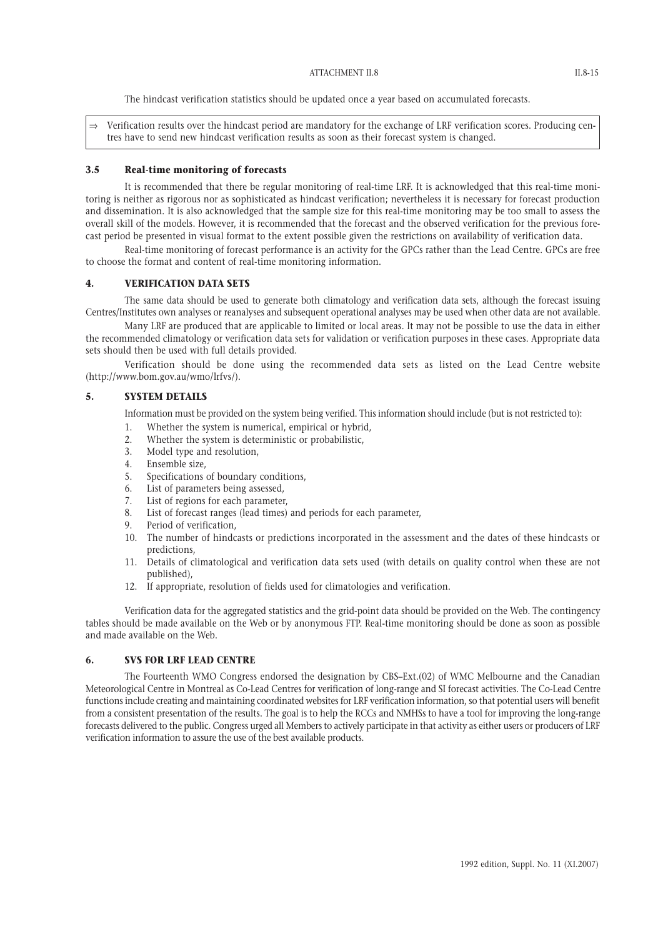The hindcast verification statistics should be updated once a year based on accumulated forecasts.

 $\Rightarrow$  Verification results over the hindcast period are mandatory for the exchange of LRF verification scores. Producing centres have to send new hindcast verification results as soon as their forecast system is changed.

### **3.5 Real-time monitoring of forecasts**

It is recommended that there be regular monitoring of real-time LRF. It is acknowledged that this real-time monitoring is neither as rigorous nor as sophisticated as hindcast verification; nevertheless it is necessary for forecast production and dissemination. It is also acknowledged that the sample size for this real-time monitoring may be too small to assess the overall skill of the models. However, it is recommended that the forecast and the observed verification for the previous forecast period be presented in visual format to the extent possible given the restrictions on availability of verification data.

Real-time monitoring of forecast performance is an activity for the GPCs rather than the Lead Centre. GPCs are free to choose the format and content of real-time monitoring information.

#### **4. VERIFICATION DATA SETS**

The same data should be used to generate both climatology and verification data sets, although the forecast issuing Centres/Institutes own analyses or reanalyses and subsequent operational analyses may be used when other data are not available.

Many LRF are produced that are applicable to limited or local areas. It may not be possible to use the data in either the recommended climatology or verification data sets for validation or verification purposes in these cases. Appropriate data sets should then be used with full details provided.

Verification should be done using the recommended data sets as listed on the Lead Centre website (http://www.bom.gov.au/wmo/lrfvs/).

# **5. SYSTEM DETAILS**

Information must be provided on the system being verified. This information should include (but is not restricted to):

- 1. Whether the system is numerical, empirical or hybrid,
- 2. Whether the system is deterministic or probabilistic,
- 3. Model type and resolution,
- 4. Ensemble size,
- 5. Specifications of boundary conditions,
- 6. List of parameters being assessed,
- 7. List of regions for each parameter,
- 8. List of forecast ranges (lead times) and periods for each parameter,
- 9. Period of verification,
- 10. The number of hindcasts or predictions incorporated in the assessment and the dates of these hindcasts or predictions,
- 11. Details of climatological and verification data sets used (with details on quality control when these are not published),
- 12. If appropriate, resolution of fields used for climatologies and verification.

Verification data for the aggregated statistics and the grid-point data should be provided on the Web. The contingency tables should be made available on the Web or by anonymous FTP. Real-time monitoring should be done as soon as possible and made available on the Web.

# **6. SVS FOR LRF LEAD CENTRE**

The Fourteenth WMO Congress endorsed the designation by CBS–Ext.(02) of WMC Melbourne and the Canadian Meteorological Centre in Montreal as Co-Lead Centres for verification of long-range and SI forecast activities. The Co-Lead Centre functions include creating and maintaining coordinated websites for LRF verification information, so that potential users will benefit from a consistent presentation of the results. The goal is to help the RCCs and NMHSs to have a tool for improving the long-range forecasts delivered to the public. Congress urged all Members to actively participate in that activity as either users or producers of LRF verification information to assure the use of the best available products.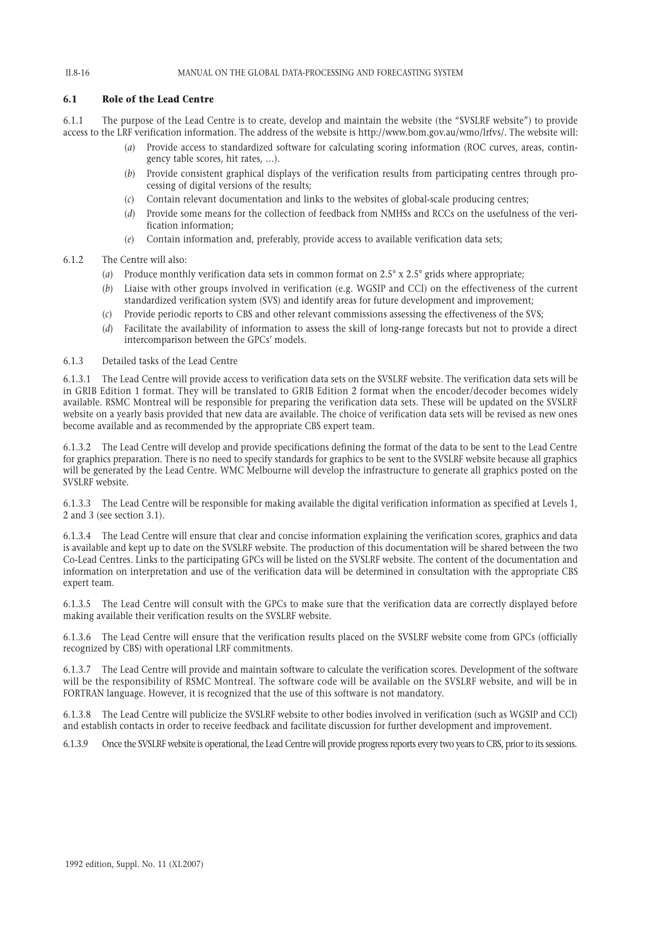### **6.1 Role of the Lead Centre**

6.1.1 The purpose of the Lead Centre is to create, develop and maintain the website (the "SVSLRF website") to provide access to the LRF verification information. The address of the website is http://www.bom.gov.au/wmo/lrfvs/. The website will:

- (*a*) Provide access to standardized software for calculating scoring information (ROC curves, areas, contingency table scores, hit rates, …).
- (*b*) Provide consistent graphical displays of the verification results from participating centres through processing of digital versions of the results;
- (*c*) Contain relevant documentation and links to the websites of global-scale producing centres;
- (*d*) Provide some means for the collection of feedback from NMHSs and RCCs on the usefulness of the verification information;
- (*e*) Contain information and, preferably, provide access to available verification data sets;
- 6.1.2 The Centre will also:
	- (*a*) Produce monthly verification data sets in common format on 2.5° x 2.5° grids where appropriate;
	- (*b*) Liaise with other groups involved in verification (e.g. WGSIP and CCl) on the effectiveness of the current standardized verification system (SVS) and identify areas for future development and improvement;
	- (*c*) Provide periodic reports to CBS and other relevant commissions assessing the effectiveness of the SVS;
	- (*d*) Facilitate the availability of information to assess the skill of long-range forecasts but not to provide a direct intercomparison between the GPCs' models.

6.1.3 Detailed tasks of the Lead Centre

6.1.3.1 The Lead Centre will provide access to verification data sets on the SVSLRF website. The verification data sets will be in GRIB Edition 1 format. They will be translated to GRIB Edition 2 format when the encoder/decoder becomes widely available. RSMC Montreal will be responsible for preparing the verification data sets. These will be updated on the SVSLRF website on a yearly basis provided that new data are available. The choice of verification data sets will be revised as new ones become available and as recommended by the appropriate CBS expert team.

6.1.3.2 The Lead Centre will develop and provide specifications defining the format of the data to be sent to the Lead Centre for graphics preparation. There is no need to specify standards for graphics to be sent to the SVSLRF website because all graphics will be generated by the Lead Centre. WMC Melbourne will develop the infrastructure to generate all graphics posted on the SVSLRF website.

6.1.3.3 The Lead Centre will be responsible for making available the digital verification information as specified at Levels 1, 2 and 3 (see section 3.1).

6.1.3.4 The Lead Centre will ensure that clear and concise information explaining the verification scores, graphics and data is available and kept up to date on the SVSLRF website. The production of this documentation will be shared between the two Co-Lead Centres. Links to the participating GPCs will be listed on the SVSLRF website. The content of the documentation and information on interpretation and use of the verification data will be determined in consultation with the appropriate CBS expert team.

6.1.3.5 The Lead Centre will consult with the GPCs to make sure that the verification data are correctly displayed before making available their verification results on the SVSLRF website.

6.1.3.6 The Lead Centre will ensure that the verification results placed on the SVSLRF website come from GPCs (officially recognized by CBS) with operational LRF commitments.

6.1.3.7 The Lead Centre will provide and maintain software to calculate the verification scores. Development of the software will be the responsibility of RSMC Montreal. The software code will be available on the SVSLRF website, and will be in FORTRAN language. However, it is recognized that the use of this software is not mandatory.

6.1.3.8 The Lead Centre will publicize the SVSLRF website to other bodies involved in verification (such as WGSIP and CCl) and establish contacts in order to receive feedback and facilitate discussion for further development and improvement.

6.1.3.9 Once the SVSLRF website is operational, the Lead Centre will provide progress reports every two years to CBS, prior to its sessions.